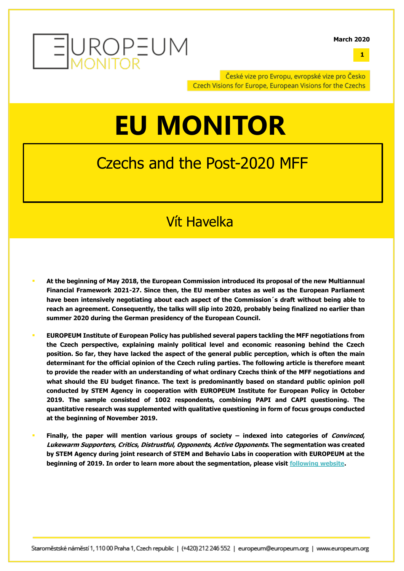

**1**



České vize pro Evropu, evropské vize pro Česko Czech Visions for Europe, European Visions for the Czechs

# **EU MONITOR**

# Czechs and the Post-2020 MFF

## Vít Havelka

- **At the beginning of May 2018, the European Commission introduced its proposal of the new Multiannual Financial Framework 2021-27. Since then, the EU member states as well as the European Parliament have been intensively negotiating about each aspect of the Commission´s draft without being able to reach an agreement. Consequently, the talks will slip into 2020, probably being finalized no earlier than summer 2020 during the German presidency of the European Council.**
- **EUROPEUM Institute of European Policy has published several papers tackling the MFF negotiations from the Czech perspective, explaining mainly political level and economic reasoning behind the Czech position. So far, they have lacked the aspect of the general public perception, which is often the main determinant for the official opinion of the Czech ruling parties. The following article is therefore meant to provide the reader with an understanding of what ordinary Czechs think of the MFF negotiations and what should the EU budget finance. The text is predominantly based on standard public opinion poll conducted by STEM Agency in cooperation with EUROPEUM Institute for European Policy in October 2019. The sample consisted of 1002 respondents, combining PAPI and CAPI questioning. The quantitative research was supplemented with qualitative questioning in form of focus groups conducted at the beginning of November 2019.**
- **Finally, the paper will mention various groups of society – indexed into categories of Convinced, Lukewarm Supporters, Critics, Distrustful, Opponents, Active Opponents. The segmentation was created by STEM Agency during joint research of STEM and Behavio Labs in cooperation with EUROPEUM at the beginning of 2019. In order to learn more about the segmentation, please visit [following website.](http://europeum.org/en/articles/detail/3257/cesi-a-znacka-eu-jak-se-citi-cesi-ohledne-eu-a-co-by-mohlo-zmenit-jejich-nazor)**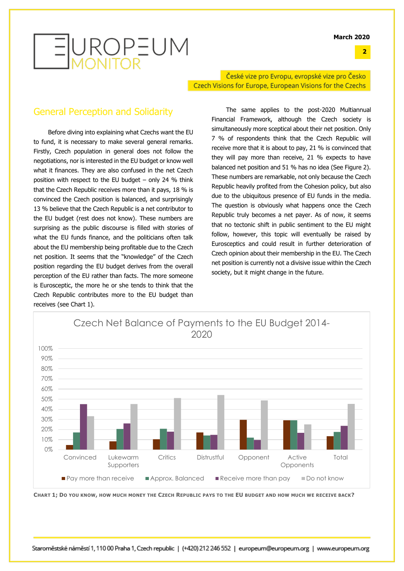**2**



České vize pro Evropu, evropské vize pro Česko Czech Visions for Europe, European Visions for the Czechs

### General Perception and Solidarity

Before diving into explaining what Czechs want the EU to fund, it is necessary to make several general remarks. Firstly, Czech population in general does not follow the negotiations, nor is interested in the EU budget or know well what it finances. They are also confused in the net Czech position with respect to the EU budget  $-$  only 24 % think that the Czech Republic receives more than it pays, 18 % is convinced the Czech position is balanced, and surprisingly 13 % believe that the Czech Republic is a net contributor to the EU budget (rest does not know). These numbers are surprising as the public discourse is filled with stories of what the EU funds finance, and the politicians often talk about the EU membership being profitable due to the Czech net position. It seems that the "knowledge" of the Czech position regarding the EU budget derives from the overall perception of the EU rather than facts. The more someone is Eurosceptic, the more he or she tends to think that the Czech Republic contributes more to the EU budget than receives (see Chart 1).

The same applies to the post-2020 Multiannual Financial Framework, although the Czech society is simultaneously more sceptical about their net position. Only 7 % of respondents think that the Czech Republic will receive more that it is about to pay, 21 % is convinced that they will pay more than receive, 21 % expects to have balanced net position and 51 % has no idea (See Figure 2). These numbers are remarkable, not only because the Czech Republic heavily profited from the Cohesion policy, but also due to the ubiquitous presence of EU funds in the media. The question is obviously what happens once the Czech Republic truly becomes a net payer. As of now, it seems that no tectonic shift in public sentiment to the EU might follow, however, this topic will eventually be raised by Eurosceptics and could result in further deterioration of Czech opinion about their membership in the EU. The Czech net position is currently not a divisive issue within the Czech society, but it might change in the future.



**CHART 1; DO YOU KNOW, HOW MUCH MONEY THE CZECH REPUBLIC PAYS TO THE EU BUDGET AND HOW MUCH WE RECEIVE BACK?**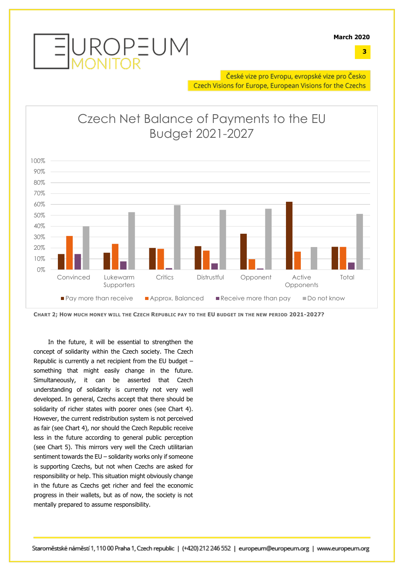**3**



České vize pro Evropu, evropské vize pro Česko Czech Visions for Europe, European Visions for the Czechs



**CHART 2; HOW MUCH MONEY WILL THE CZECH REPUBLIC PAY TO THE EU BUDGET IN THE NEW PERIOD 2021-2027?**

In the future, it will be essential to strengthen the concept of solidarity within the Czech society. The Czech Republic is currently a net recipient from the EU budget – something that might easily change in the future. Simultaneously, it can be asserted that Czech understanding of solidarity is currently not very well developed. In general, Czechs accept that there should be solidarity of richer states with poorer ones (see Chart 4). However, the current redistribution system is not perceived as fair (see Chart 4), nor should the Czech Republic receive less in the future according to general public perception (see Chart 5). This mirrors very well the Czech utilitarian sentiment towards the EU – solidarity works only if someone is supporting Czechs, but not when Czechs are asked for responsibility or help. This situation might obviously change in the future as Czechs get richer and feel the economic progress in their wallets, but as of now, the society is not mentally prepared to assume responsibility.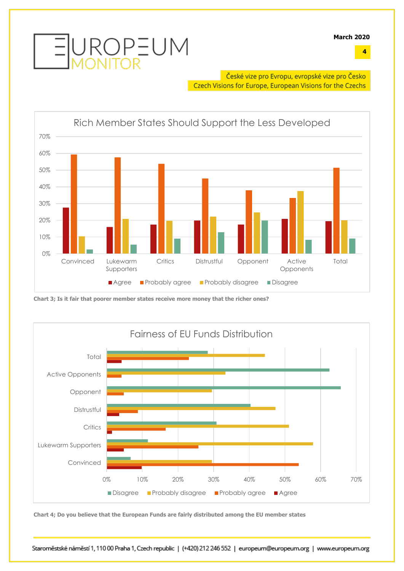**4**



České vize pro Evropu, evropské vize pro Česko Czech Visions for Europe, European Visions for the Czechs



**Chart 3; Is it fair that poorer member states receive more money that the richer ones?**



**Chart 4; Do you believe that the European Funds are fairly distributed among the EU member states**

Staroměstské náměstí 1, 110 00 Praha 1, Czech republic | (+420) 212 246 552 | europeum@europeum.org | www.europeum.org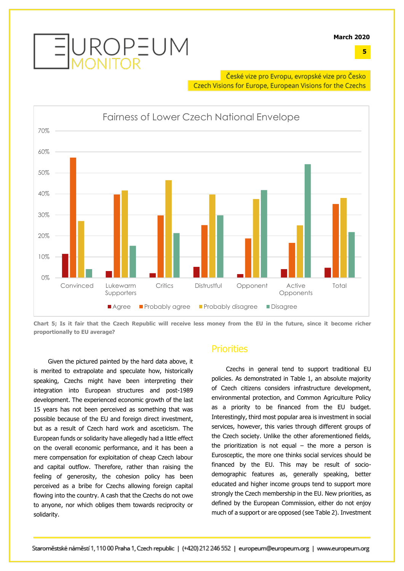**5**



České vize pro Evropu, evropské vize pro Česko Czech Visions for Europe, European Visions for the Czechs



**Chart 5; Is it fair that the Czech Republic will receive less money from the EU in the future, since it become richer proportionally to EU average?**

Given the pictured painted by the hard data above, it is merited to extrapolate and speculate how, historically speaking, Czechs might have been interpreting their integration into European structures and post-1989 development. The experienced economic growth of the last 15 years has not been perceived as something that was possible because of the EU and foreign direct investment, but as a result of Czech hard work and asceticism. The European funds or solidarity have allegedly had a little effect on the overall economic performance, and it has been a mere compensation for exploitation of cheap Czech labour and capital outflow. Therefore, rather than raising the feeling of generosity, the cohesion policy has been perceived as a bribe for Czechs allowing foreign capital flowing into the country. A cash that the Czechs do not owe to anyone, nor which obliges them towards reciprocity or solidarity.

#### **Priorities**

Czechs in general tend to support traditional EU policies. As demonstrated in Table 1, an absolute majority of Czech citizens considers infrastructure development, environmental protection, and Common Agriculture Policy as a priority to be financed from the EU budget. Interestingly, third most popular area is investment in social services, however, this varies through different groups of the Czech society. Unlike the other aforementioned fields, the prioritization is not equal  $-$  the more a person is Eurosceptic, the more one thinks social services should be financed by the EU. This may be result of sociodemographic features as, generally speaking, better educated and higher income groups tend to support more strongly the Czech membership in the EU. New priorities, as defined by the European Commission, either do not enjoy much of a support or are opposed (see Table 2). Investment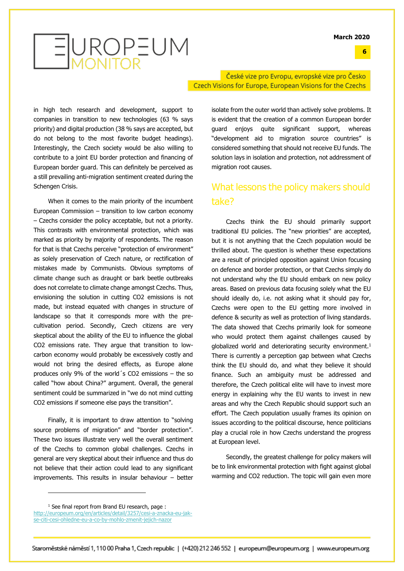

České vize pro Evropu, evropské vize pro Česko Czech Visions for Europe, European Visions for the Czechs

in high tech research and development, support to companies in transition to new technologies (63 % says priority) and digital production (38 % says are accepted, but do not belong to the most favorite budget headings). Interestingly, the Czech society would be also willing to contribute to a joint EU border protection and financing of European border guard. This can definitely be perceived as a still prevailing anti-migration sentiment created during the Schengen Crisis.

When it comes to the main priority of the incumbent European Commission – transition to low carbon economy – Czechs consider the policy acceptable, but not a priority. This contrasts with environmental protection, which was marked as priority by majority of respondents. The reason for that is that Czechs perceive "protection of environment" as solely preservation of Czech nature, or rectification of mistakes made by Communists. Obvious symptoms of climate change such as draught or bark beetle outbreaks does not correlate to climate change amongst Czechs. Thus, envisioning the solution in cutting CO2 emissions is not made, but instead equated with changes in structure of landscape so that it corresponds more with the precultivation period. Secondly, Czech citizens are very skeptical about the ability of the EU to influence the global CO2 emissions rate. They argue that transition to lowcarbon economy would probably be excessively costly and would not bring the desired effects, as Europe alone produces only 9% of the world´s CO2 emissions – the so called "how about China?" argument. Overall, the general sentiment could be summarized in "we do not mind cutting CO2 emissions if someone else pays the transition".

Finally, it is important to draw attention to "solving source problems of migration" and "border protection". These two issues illustrate very well the overall sentiment of the Czechs to common global challenges. Czechs in general are very skeptical about their influence and thus do not believe that their action could lead to any significant improvements. This results in insular behaviour – better isolate from the outer world than actively solve problems. It is evident that the creation of a common European border guard enjoys quite significant support, whereas "development aid to migration source countries" is considered something that should not receive EU funds. The solution lays in isolation and protection, not addressment of migration root causes.

## What lessons the policy makers should take?

Czechs think the EU should primarily support traditional EU policies. The "new priorities" are accepted, but it is not anything that the Czech population would be thrilled about. The question is whether these expectations are a result of principled opposition against Union focusing on defence and border protection, or that Czechs simply do not understand why the EU should embark on new policy areas. Based on previous data focusing solely what the EU should ideally do, i.e. not asking what it should pay for, Czechs were open to the EU getting more involved in defence & security as well as protection of living standards. The data showed that Czechs primarily look for someone who would protect them against challenges caused by globalized world and deteriorating security environment.<sup>1</sup> There is currently a perception gap between what Czechs think the EU should do, and what they believe it should finance. Such an ambiguity must be addressed and therefore, the Czech political elite will have to invest more energy in explaining why the EU wants to invest in new areas and why the Czech Republic should support such an effort. The Czech population usually frames its opinion on issues according to the political discourse, hence politicians play a crucial role in how Czechs understand the progress at European level.

Secondly, the greatest challenge for policy makers will be to link environmental protection with fight against global warming and CO2 reduction. The topic will gain even more

<sup>&</sup>lt;sup>1</sup> See final report from Brand EU research, page : [http://europeum.org/en/articles/detail/3257/cesi-a-znacka-eu-jak-](http://europeum.org/en/articles/detail/3257/cesi-a-znacka-eu-jak-se-citi-cesi-ohledne-eu-a-co-by-mohlo-zmenit-jejich-nazor)

[se-citi-cesi-ohledne-eu-a-co-by-mohlo-zmenit-jejich-nazor](http://europeum.org/en/articles/detail/3257/cesi-a-znacka-eu-jak-se-citi-cesi-ohledne-eu-a-co-by-mohlo-zmenit-jejich-nazor)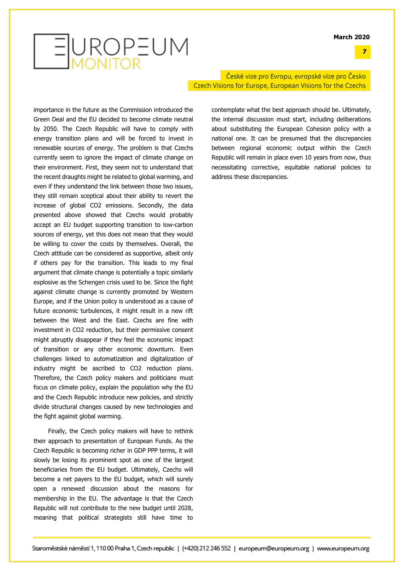**7**



České vize pro Evropu, evropské vize pro Česko Czech Visions for Europe, European Visions for the Czechs

importance in the future as the Commission introduced the Green Deal and the EU decided to become climate neutral by 2050. The Czech Republic will have to comply with energy transition plans and will be forced to invest in renewable sources of energy. The problem is that Czechs currently seem to ignore the impact of climate change on their environment. First, they seem not to understand that the recent draughts might be related to global warming, and even if they understand the link between those two issues, they still remain sceptical about their ability to revert the increase of global CO2 emissions. Secondly, the data presented above showed that Czechs would probably accept an EU budget supporting transition to low-carbon sources of energy, yet this does not mean that they would be willing to cover the costs by themselves. Overall, the Czech attitude can be considered as supportive, albeit only if others pay for the transition. This leads to my final argument that climate change is potentially a topic similarly explosive as the Schengen crisis used to be. Since the fight against climate change is currently promoted by Western Europe, and if the Union policy is understood as a cause of future economic turbulences, it might result in a new rift between the West and the East. Czechs are fine with investment in CO2 reduction, but their permissive consent might abruptly disappear if they feel the economic impact of transition or any other economic downturn. Even challenges linked to automatization and digitalization of industry might be ascribed to CO2 reduction plans. Therefore, the Czech policy makers and politicians must focus on climate policy, explain the population why the EU and the Czech Republic introduce new policies, and strictly divide structural changes caused by new technologies and the fight against global warming.

Finally, the Czech policy makers will have to rethink their approach to presentation of European Funds. As the Czech Republic is becoming richer in GDP PPP terms, it will slowly be losing its prominent spot as one of the largest beneficiaries from the EU budget. Ultimately, Czechs will become a net payers to the EU budget, which will surely open a renewed discussion about the reasons for membership in the EU. The advantage is that the Czech Republic will not contribute to the new budget until 2028, meaning that political strategists still have time to

contemplate what the best approach should be. Ultimately, the internal discussion must start, including deliberations about substituting the European Cohesion policy with a national one. It can be presumed that the discrepancies between regional economic output within the Czech Republic will remain in place even 10 years from now, thus necessitating corrective, equitable national policies to address these discrepancies.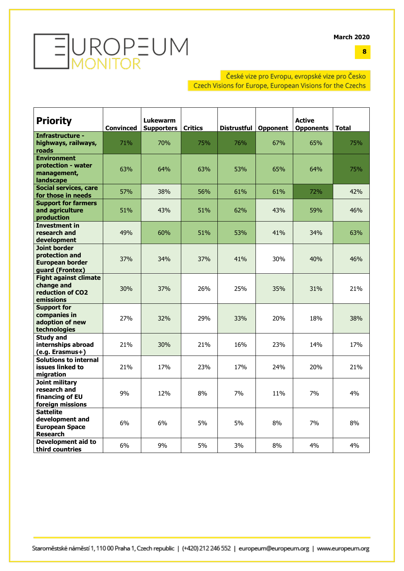

České vize pro Evropu, evropské vize pro Česko Czech Visions for Europe, European Visions for the Czechs

| <b>Priority</b>                                                                    | <b>Convinced</b> | <b>Lukewarm</b><br><b>Supporters</b> | <b>Critics</b> | <b>Distrustful</b> | <b>Opponent</b> | <b>Active</b><br><b>Opponents</b> | <b>Total</b> |
|------------------------------------------------------------------------------------|------------------|--------------------------------------|----------------|--------------------|-----------------|-----------------------------------|--------------|
| <b>Infrastructure -</b><br>highways, railways,<br>roads                            | 71%              | 70%                                  | 75%            | 76%                | 67%             | 65%                               | 75%          |
| <b>Environment</b><br>protection - water<br>management,<br>landscape               | 63%              | 64%                                  | 63%            | 53%                | 65%             | 64%                               | 75%          |
| <b>Social services, care</b><br>for those in needs                                 | 57%              | 38%                                  | 56%            | 61%                | 61%             | 72%                               | 42%          |
| <b>Support for farmers</b><br>and agriculture<br>production                        | 51%              | 43%                                  | 51%            | 62%                | 43%             | 59%                               | 46%          |
| <b>Investment in</b><br>research and<br>development                                | 49%              | 60%                                  | 51%            | 53%                | 41%             | 34%                               | 63%          |
| <b>Joint border</b><br>protection and<br><b>European border</b><br>guard (Frontex) | 37%              | 34%                                  | 37%            | 41%                | 30%             | 40%                               | 46%          |
| <b>Fight against climate</b><br>change and<br>reduction of CO2<br>emissions        | 30%              | 37%                                  | 26%            | 25%                | 35%             | 31%                               | 21%          |
| <b>Support for</b><br>companies in<br>adoption of new<br>technologies              | 27%              | 32%                                  | 29%            | 33%                | 20%             | 18%                               | 38%          |
| <b>Study and</b><br>internships abroad<br>(e.g. Erasmus+)                          | 21%              | 30%                                  | 21%            | 16%                | 23%             | 14%                               | 17%          |
| <b>Solutions to internal</b><br>issues linked to<br>migration                      | 21%              | 17%                                  | 23%            | 17%                | 24%             | 20%                               | 21%          |
| Joint military<br>research and<br>financing of EU<br>foreign missions              | 9%               | 12%                                  | 8%             | 7%                 | 11%             | 7%                                | 4%           |
| <b>Sattelite</b><br>development and<br><b>European Space</b><br><b>Research</b>    | 6%               | 6%                                   | 5%             | 5%                 | 8%              | 7%                                | 8%           |
| <b>Development aid to</b><br>third countries                                       | 6%               | 9%                                   | 5%             | 3%                 | 8%              | 4%                                | 4%           |

**8**